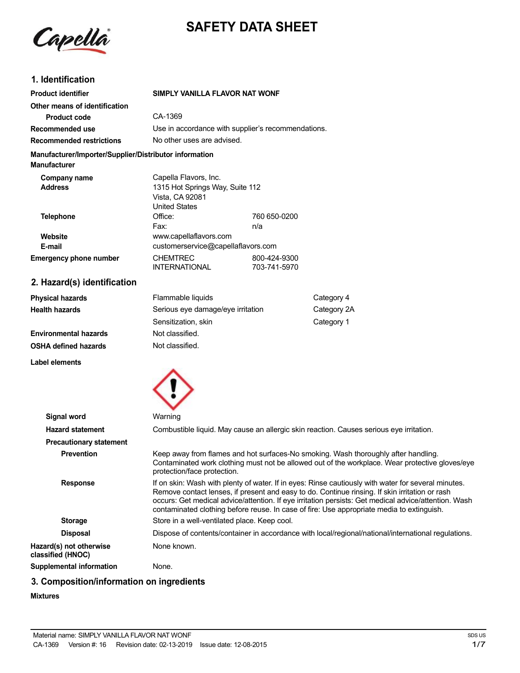

# **SAFETY DATA SHEET**

# **1. Identification**

| <b>Product identifier</b>                                                     | SIMPLY VANILLA FLAVOR NAT WONF                                             |                                                    |             |  |
|-------------------------------------------------------------------------------|----------------------------------------------------------------------------|----------------------------------------------------|-------------|--|
| Other means of identification                                                 |                                                                            |                                                    |             |  |
| <b>Product code</b>                                                           | CA-1369                                                                    |                                                    |             |  |
| Recommended use                                                               |                                                                            | Use in accordance with supplier's recommendations. |             |  |
| <b>Recommended restrictions</b>                                               |                                                                            | No other uses are advised.                         |             |  |
| Manufacturer/Importer/Supplier/Distributor information<br><b>Manufacturer</b> |                                                                            |                                                    |             |  |
| Company name                                                                  | Capella Flavors, Inc.                                                      |                                                    |             |  |
| <b>Address</b>                                                                | 1315 Hot Springs Way, Suite 112<br>Vista, CA 92081<br><b>United States</b> |                                                    |             |  |
| <b>Telephone</b>                                                              | Office:<br>Fax:                                                            | 760 650-0200<br>n/a                                |             |  |
| Website                                                                       | www.capellaflavors.com                                                     |                                                    |             |  |
| E-mail                                                                        |                                                                            | customerservice@capellaflavors.com                 |             |  |
| <b>Emergency phone number</b>                                                 | <b>CHEMTREC</b><br><b>INTERNATIONAL</b>                                    | 800-424-9300<br>703-741-5970                       |             |  |
| 2. Hazard(s) identification                                                   |                                                                            |                                                    |             |  |
| <b>Physical hazards</b>                                                       | Flammable liquids                                                          |                                                    | Category 4  |  |
| <b>Health hazards</b>                                                         | Serious eye damage/eye irritation                                          |                                                    | Category 2A |  |
|                                                                               | Sensitization, skin                                                        |                                                    | Category 1  |  |
| <b>Environmental hazards</b>                                                  | Not classified.                                                            |                                                    |             |  |
| <b>OSHA defined hazards</b>                                                   | Not classified.                                                            |                                                    |             |  |

**Label elements**



| Signal word                                  | Warning                                                                                                                                                                                                                                                                                                                                                                                                    |
|----------------------------------------------|------------------------------------------------------------------------------------------------------------------------------------------------------------------------------------------------------------------------------------------------------------------------------------------------------------------------------------------------------------------------------------------------------------|
| <b>Hazard statement</b>                      | Combustible liquid. May cause an allergic skin reaction. Causes serious eye irritation.                                                                                                                                                                                                                                                                                                                    |
| <b>Precautionary statement</b>               |                                                                                                                                                                                                                                                                                                                                                                                                            |
| <b>Prevention</b>                            | Keep away from flames and hot surfaces-No smoking. Wash thoroughly after handling.<br>Contaminated work clothing must not be allowed out of the workplace. Wear protective gloves/eye<br>protection/face protection.                                                                                                                                                                                       |
| <b>Response</b>                              | If on skin: Wash with plenty of water. If in eyes: Rinse cautiously with water for several minutes.<br>Remove contact lenses, if present and easy to do. Continue rinsing. If skin irritation or rash<br>occurs: Get medical advice/attention. If eye irritation persists: Get medical advice/attention. Wash<br>contaminated clothing before reuse. In case of fire: Use appropriate media to extinguish. |
| <b>Storage</b>                               | Store in a well-ventilated place. Keep cool.                                                                                                                                                                                                                                                                                                                                                               |
| <b>Disposal</b>                              | Dispose of contents/container in accordance with local/regional/national/international regulations.                                                                                                                                                                                                                                                                                                        |
| Hazard(s) not otherwise<br>classified (HNOC) | None known.                                                                                                                                                                                                                                                                                                                                                                                                |
| Supplemental information                     | None.                                                                                                                                                                                                                                                                                                                                                                                                      |

# **3. Composition/information on ingredients**

### **Mixtures**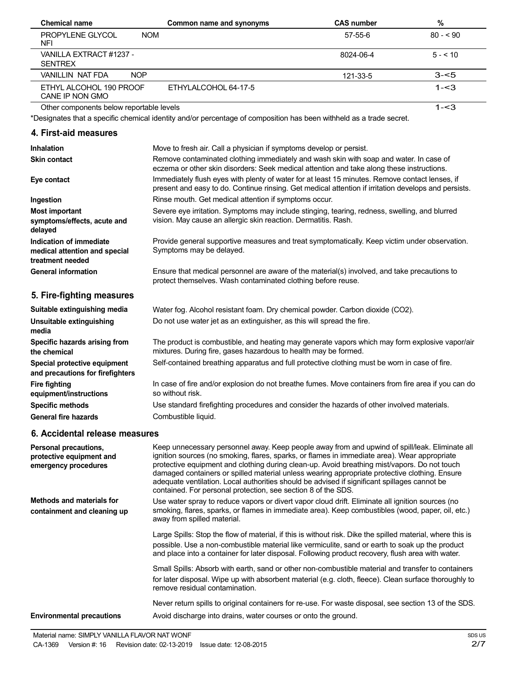| <b>Chemical name</b>                                                         | Common name and synonyms                                                                                                                                                                                                                                                                                                                                                                                                                                                                                                                                         | <b>CAS number</b> | $\%$      |
|------------------------------------------------------------------------------|------------------------------------------------------------------------------------------------------------------------------------------------------------------------------------------------------------------------------------------------------------------------------------------------------------------------------------------------------------------------------------------------------------------------------------------------------------------------------------------------------------------------------------------------------------------|-------------------|-----------|
| PROPYLENE GLYCOL<br><b>NFI</b>                                               | <b>NOM</b>                                                                                                                                                                                                                                                                                                                                                                                                                                                                                                                                                       | 57-55-6           | $80 - 90$ |
| VANILLA EXTRACT #1237 -<br><b>SENTREX</b>                                    |                                                                                                                                                                                                                                                                                                                                                                                                                                                                                                                                                                  | 8024-06-4         | $5 - 10$  |
| <b>NOP</b><br><b>VANILLIN NAT FDA</b>                                        |                                                                                                                                                                                                                                                                                                                                                                                                                                                                                                                                                                  | 121-33-5          | $3 - 5$   |
| ETHYL ALCOHOL 190 PROOF<br>CANE IP NON GMO                                   | ETHYLALCOHOL 64-17-5                                                                                                                                                                                                                                                                                                                                                                                                                                                                                                                                             |                   | $1 - 3$   |
| Other components below reportable levels                                     |                                                                                                                                                                                                                                                                                                                                                                                                                                                                                                                                                                  |                   | $1 - 3$   |
|                                                                              | *Designates that a specific chemical identity and/or percentage of composition has been withheld as a trade secret.                                                                                                                                                                                                                                                                                                                                                                                                                                              |                   |           |
| 4. First-aid measures                                                        |                                                                                                                                                                                                                                                                                                                                                                                                                                                                                                                                                                  |                   |           |
| <b>Inhalation</b>                                                            | Move to fresh air. Call a physician if symptoms develop or persist.                                                                                                                                                                                                                                                                                                                                                                                                                                                                                              |                   |           |
| <b>Skin contact</b>                                                          | Remove contaminated clothing immediately and wash skin with soap and water. In case of                                                                                                                                                                                                                                                                                                                                                                                                                                                                           |                   |           |
| Eye contact                                                                  | eczema or other skin disorders: Seek medical attention and take along these instructions.<br>Immediately flush eyes with plenty of water for at least 15 minutes. Remove contact lenses, if<br>present and easy to do. Continue rinsing. Get medical attention if irritation develops and persists.                                                                                                                                                                                                                                                              |                   |           |
| Ingestion                                                                    | Rinse mouth. Get medical attention if symptoms occur.                                                                                                                                                                                                                                                                                                                                                                                                                                                                                                            |                   |           |
| <b>Most important</b><br>symptoms/effects, acute and<br>delayed              | Severe eye irritation. Symptoms may include stinging, tearing, redness, swelling, and blurred<br>vision. May cause an allergic skin reaction. Dermatitis. Rash.                                                                                                                                                                                                                                                                                                                                                                                                  |                   |           |
| Indication of immediate<br>medical attention and special<br>treatment needed | Provide general supportive measures and treat symptomatically. Keep victim under observation.<br>Symptoms may be delayed.                                                                                                                                                                                                                                                                                                                                                                                                                                        |                   |           |
| <b>General information</b>                                                   | Ensure that medical personnel are aware of the material(s) involved, and take precautions to<br>protect themselves. Wash contaminated clothing before reuse.                                                                                                                                                                                                                                                                                                                                                                                                     |                   |           |
| 5. Fire-fighting measures                                                    |                                                                                                                                                                                                                                                                                                                                                                                                                                                                                                                                                                  |                   |           |
| Suitable extinguishing media                                                 | Water fog. Alcohol resistant foam. Dry chemical powder. Carbon dioxide (CO2).                                                                                                                                                                                                                                                                                                                                                                                                                                                                                    |                   |           |
| Unsuitable extinguishing<br>media                                            | Do not use water jet as an extinguisher, as this will spread the fire.                                                                                                                                                                                                                                                                                                                                                                                                                                                                                           |                   |           |
| Specific hazards arising from<br>the chemical                                | The product is combustible, and heating may generate vapors which may form explosive vapor/air<br>mixtures. During fire, gases hazardous to health may be formed.                                                                                                                                                                                                                                                                                                                                                                                                |                   |           |
| Special protective equipment<br>and precautions for firefighters             | Self-contained breathing apparatus and full protective clothing must be worn in case of fire.                                                                                                                                                                                                                                                                                                                                                                                                                                                                    |                   |           |
| <b>Fire fighting</b><br>equipment/instructions                               | In case of fire and/or explosion do not breathe fumes. Move containers from fire area if you can do<br>so without risk.                                                                                                                                                                                                                                                                                                                                                                                                                                          |                   |           |
| <b>Specific methods</b>                                                      | Use standard firefighting procedures and consider the hazards of other involved materials.                                                                                                                                                                                                                                                                                                                                                                                                                                                                       |                   |           |
| <b>General fire hazards</b>                                                  | Combustible liquid.                                                                                                                                                                                                                                                                                                                                                                                                                                                                                                                                              |                   |           |
| 6. Accidental release measures                                               |                                                                                                                                                                                                                                                                                                                                                                                                                                                                                                                                                                  |                   |           |
| Personal precautions,<br>protective equipment and<br>emergency procedures    | Keep unnecessary personnel away. Keep people away from and upwind of spill/leak. Eliminate all<br>ignition sources (no smoking, flares, sparks, or flames in immediate area). Wear appropriate<br>protective equipment and clothing during clean-up. Avoid breathing mist/vapors. Do not touch<br>damaged containers or spilled material unless wearing appropriate protective clothing. Ensure<br>adequate ventilation. Local authorities should be advised if significant spillages cannot be<br>contained. For personal protection, see section 8 of the SDS. |                   |           |
| Methods and materials for<br>containment and cleaning up                     | Use water spray to reduce vapors or divert vapor cloud drift. Eliminate all ignition sources (no<br>smoking, flares, sparks, or flames in immediate area). Keep combustibles (wood, paper, oil, etc.)<br>away from spilled material.                                                                                                                                                                                                                                                                                                                             |                   |           |
|                                                                              | Large Spills: Stop the flow of material, if this is without risk. Dike the spilled material, where this is<br>possible. Use a non-combustible material like vermiculite, sand or earth to soak up the product<br>and place into a container for later disposal. Following product recovery, flush area with water.                                                                                                                                                                                                                                               |                   |           |
|                                                                              | Small Spills: Absorb with earth, sand or other non-combustible material and transfer to containers<br>for later disposal. Wipe up with absorbent material (e.g. cloth, fleece). Clean surface thoroughly to<br>remove residual contamination.                                                                                                                                                                                                                                                                                                                    |                   |           |

**Environmental precautions** Never return spills to original containers for re-use. For waste disposal, see section 13 of the SDS. Avoid discharge into drains, water courses or onto the ground.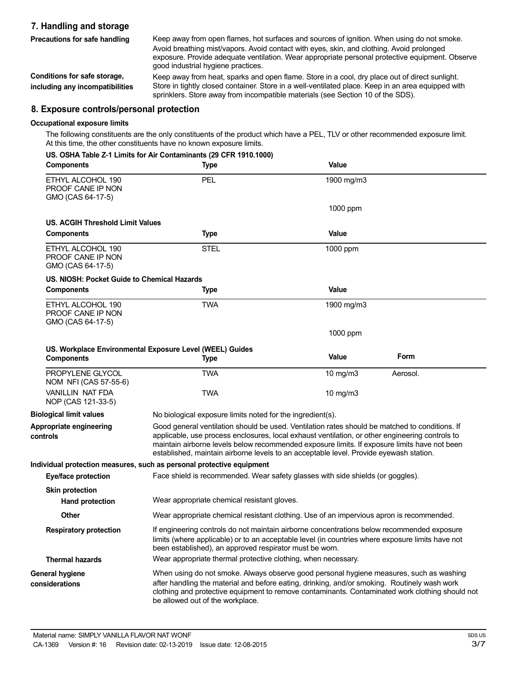# **7. Handling and storage Precautions for safe handling**

Keep away from open flames, hot surfaces and sources of ignition. When using do not smoke. Avoid breathing mist/vapors. Avoid contact with eyes, skin, and clothing. Avoid prolonged exposure. Provide adequate ventilation. Wear appropriate personal protective equipment. Observe good industrial hygiene practices.

**Conditions for safe storage, including any incompatibilities** Keep away from heat, sparks and open flame. Store in a cool, dry place out of direct sunlight. Store in tightly closed container. Store in a well-ventilated place. Keep in an area equipped with sprinklers. Store away from incompatible materials (see Section 10 of the SDS).

# **8. Exposure controls/personal protection**

#### **Occupational exposure limits**

The following constituents are the only constituents of the product which have a PEL, TLV or other recommended exposure limit. At this time, the other constituents have no known exposure limits.

|  | US. OSHA Table Z-1 Limits for Air Contaminants (29 CFR 1910.1000) |  |
|--|-------------------------------------------------------------------|--|
|  |                                                                   |  |

| <b>Components</b>                                           | <b>Type</b>                                                                                                                                                                                                                                                                                                                                                                                 | Value      |          |
|-------------------------------------------------------------|---------------------------------------------------------------------------------------------------------------------------------------------------------------------------------------------------------------------------------------------------------------------------------------------------------------------------------------------------------------------------------------------|------------|----------|
| ETHYL ALCOHOL 190<br>PROOF CANE IP NON<br>GMO (CAS 64-17-5) | PEL                                                                                                                                                                                                                                                                                                                                                                                         | 1900 mg/m3 |          |
|                                                             |                                                                                                                                                                                                                                                                                                                                                                                             | 1000 ppm   |          |
| <b>US. ACGIH Threshold Limit Values</b>                     |                                                                                                                                                                                                                                                                                                                                                                                             |            |          |
| <b>Components</b>                                           | <b>Type</b>                                                                                                                                                                                                                                                                                                                                                                                 | Value      |          |
| ETHYL ALCOHOL 190<br>PROOF CANE IP NON<br>GMO (CAS 64-17-5) | <b>STEL</b>                                                                                                                                                                                                                                                                                                                                                                                 | 1000 ppm   |          |
| US, NIOSH: Pocket Guide to Chemical Hazards                 |                                                                                                                                                                                                                                                                                                                                                                                             |            |          |
| <b>Components</b>                                           | <b>Type</b>                                                                                                                                                                                                                                                                                                                                                                                 | Value      |          |
| ETHYL ALCOHOL 190<br>PROOF CANE IP NON<br>GMO (CAS 64-17-5) | <b>TWA</b>                                                                                                                                                                                                                                                                                                                                                                                  | 1900 mg/m3 |          |
|                                                             |                                                                                                                                                                                                                                                                                                                                                                                             | 1000 ppm   |          |
|                                                             | US. Workplace Environmental Exposure Level (WEEL) Guides                                                                                                                                                                                                                                                                                                                                    |            |          |
| <b>Components</b>                                           | <b>Type</b>                                                                                                                                                                                                                                                                                                                                                                                 | Value      | Form     |
| PROPYLENE GLYCOL<br>NOM NFI (CAS 57-55-6)                   | <b>TWA</b>                                                                                                                                                                                                                                                                                                                                                                                  | 10 mg/m3   | Aerosol. |
| <b>VANILLIN NAT FDA</b><br>NOP (CAS 121-33-5)               | <b>TWA</b>                                                                                                                                                                                                                                                                                                                                                                                  | 10 mg/m3   |          |
| <b>Biological limit values</b>                              | No biological exposure limits noted for the ingredient(s).                                                                                                                                                                                                                                                                                                                                  |            |          |
| Appropriate engineering<br>controls                         | Good general ventilation should be used. Ventilation rates should be matched to conditions. If<br>applicable, use process enclosures, local exhaust ventilation, or other engineering controls to<br>maintain airborne levels below recommended exposure limits. If exposure limits have not been<br>established, maintain airborne levels to an acceptable level. Provide eyewash station. |            |          |
|                                                             | Individual protection measures, such as personal protective equipment                                                                                                                                                                                                                                                                                                                       |            |          |
| <b>Eye/face protection</b>                                  | Face shield is recommended. Wear safety glasses with side shields (or goggles).                                                                                                                                                                                                                                                                                                             |            |          |
| <b>Skin protection</b>                                      |                                                                                                                                                                                                                                                                                                                                                                                             |            |          |
| Hand protection                                             | Wear appropriate chemical resistant gloves.                                                                                                                                                                                                                                                                                                                                                 |            |          |
| Other                                                       | Wear appropriate chemical resistant clothing. Use of an impervious apron is recommended.                                                                                                                                                                                                                                                                                                    |            |          |
| <b>Respiratory protection</b>                               | If engineering controls do not maintain airborne concentrations below recommended exposure<br>limits (where applicable) or to an acceptable level (in countries where exposure limits have not<br>been established), an approved respirator must be worn.                                                                                                                                   |            |          |
| <b>Thermal hazards</b>                                      | Wear appropriate thermal protective clothing, when necessary.                                                                                                                                                                                                                                                                                                                               |            |          |
| <b>General hygiene</b><br>considerations                    | When using do not smoke. Always observe good personal hygiene measures, such as washing<br>after handling the material and before eating, drinking, and/or smoking. Routinely wash work<br>clothing and protective equipment to remove contaminants. Contaminated work clothing should not<br>be allowed out of the workplace.                                                              |            |          |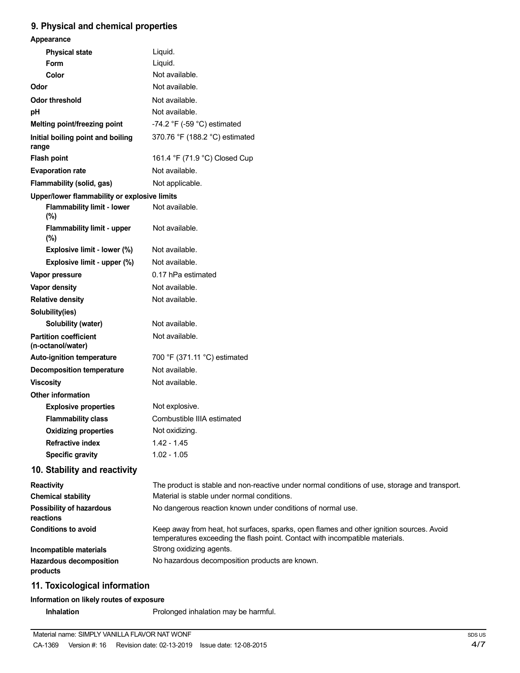# **9. Physical and chemical properties**

| Appearance                                        |                                                                                                                                                                          |
|---------------------------------------------------|--------------------------------------------------------------------------------------------------------------------------------------------------------------------------|
| <b>Physical state</b>                             | Liquid.                                                                                                                                                                  |
| <b>Form</b>                                       | Liquid.                                                                                                                                                                  |
| Color                                             | Not available.                                                                                                                                                           |
| Odor                                              | Not available.                                                                                                                                                           |
| <b>Odor threshold</b>                             | Not available.                                                                                                                                                           |
| pH                                                | Not available.                                                                                                                                                           |
| Melting point/freezing point                      | -74.2 $\degree$ F (-59 $\degree$ C) estimated                                                                                                                            |
| Initial boiling point and boiling<br>range        | 370.76 °F (188.2 °C) estimated                                                                                                                                           |
| <b>Flash point</b>                                | 161.4 °F (71.9 °C) Closed Cup                                                                                                                                            |
| <b>Evaporation rate</b>                           | Not available.                                                                                                                                                           |
| Flammability (solid, gas)                         | Not applicable.                                                                                                                                                          |
| Upper/lower flammability or explosive limits      |                                                                                                                                                                          |
| <b>Flammability limit - lower</b><br>(%)          | Not available.                                                                                                                                                           |
| <b>Flammability limit - upper</b><br>(%)          | Not available.                                                                                                                                                           |
| Explosive limit - lower (%)                       | Not available.                                                                                                                                                           |
| Explosive limit - upper (%)                       | Not available.                                                                                                                                                           |
| Vapor pressure                                    | 0.17 hPa estimated                                                                                                                                                       |
| Vapor density                                     | Not available.                                                                                                                                                           |
| <b>Relative density</b>                           | Not available.                                                                                                                                                           |
| Solubility(ies)                                   |                                                                                                                                                                          |
| Solubility (water)                                | Not available.                                                                                                                                                           |
| <b>Partition coefficient</b><br>(n-octanol/water) | Not available.                                                                                                                                                           |
| Auto-ignition temperature                         | 700 °F (371.11 °C) estimated                                                                                                                                             |
| <b>Decomposition temperature</b>                  | Not available.                                                                                                                                                           |
| <b>Viscosity</b>                                  | Not available.                                                                                                                                                           |
| <b>Other information</b>                          |                                                                                                                                                                          |
| <b>Explosive properties</b>                       | Not explosive.                                                                                                                                                           |
| <b>Flammability class</b>                         | Combustible IIIA estimated                                                                                                                                               |
| <b>Oxidizing properties</b>                       | Not oxidizing.                                                                                                                                                           |
| <b>Refractive index</b>                           | $1.42 - 1.45$                                                                                                                                                            |
| <b>Specific gravity</b>                           | $1.02 - 1.05$                                                                                                                                                            |
| 10. Stability and reactivity                      |                                                                                                                                                                          |
| <b>Reactivity</b>                                 | The product is stable and non-reactive under normal conditions of use, storage and transport.                                                                            |
| <b>Chemical stability</b>                         | Material is stable under normal conditions.                                                                                                                              |
| Possibility of hazardous<br>reactions             | No dangerous reaction known under conditions of normal use.                                                                                                              |
| <b>Conditions to avoid</b>                        | Keep away from heat, hot surfaces, sparks, open flames and other ignition sources. Avoid<br>temperatures exceeding the flash point. Contact with incompatible materials. |

**Incompatible materials Hazardous decomposition products**

# **11. Toxicological information**

# **Information on likely routes of exposure**

**Inhalation** Prolonged inhalation may be harmful.

No hazardous decomposition products are known.

Strong oxidizing agents.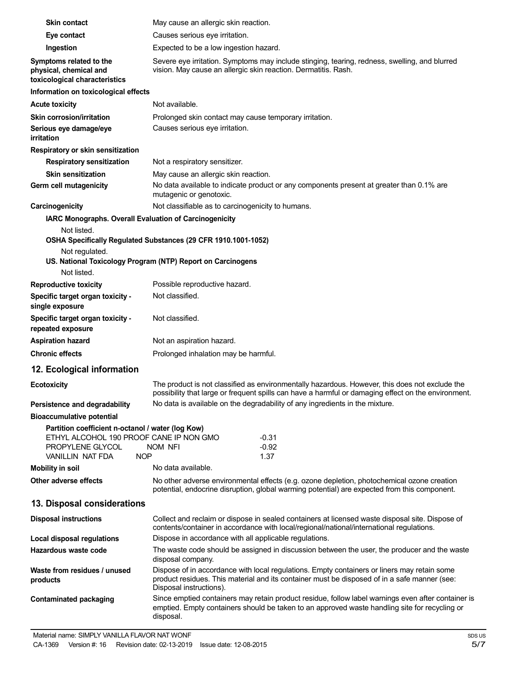| <b>Skin contact</b>                                                                                                                                       | May cause an allergic skin reaction.                                                                                                                                                                                   |  |  |
|-----------------------------------------------------------------------------------------------------------------------------------------------------------|------------------------------------------------------------------------------------------------------------------------------------------------------------------------------------------------------------------------|--|--|
| Eye contact                                                                                                                                               | Causes serious eye irritation.                                                                                                                                                                                         |  |  |
| Ingestion                                                                                                                                                 | Expected to be a low ingestion hazard.                                                                                                                                                                                 |  |  |
| Symptoms related to the<br>physical, chemical and<br>toxicological characteristics                                                                        | Severe eye irritation. Symptoms may include stinging, tearing, redness, swelling, and blurred<br>vision. May cause an allergic skin reaction. Dermatitis. Rash.                                                        |  |  |
| Information on toxicological effects                                                                                                                      |                                                                                                                                                                                                                        |  |  |
| <b>Acute toxicity</b>                                                                                                                                     | Not available.                                                                                                                                                                                                         |  |  |
| <b>Skin corrosion/irritation</b>                                                                                                                          | Prolonged skin contact may cause temporary irritation.                                                                                                                                                                 |  |  |
| Serious eye damage/eye<br>irritation                                                                                                                      | Causes serious eye irritation.                                                                                                                                                                                         |  |  |
| Respiratory or skin sensitization                                                                                                                         |                                                                                                                                                                                                                        |  |  |
| <b>Respiratory sensitization</b>                                                                                                                          | Not a respiratory sensitizer.                                                                                                                                                                                          |  |  |
| <b>Skin sensitization</b>                                                                                                                                 | May cause an allergic skin reaction.                                                                                                                                                                                   |  |  |
| Germ cell mutagenicity                                                                                                                                    | No data available to indicate product or any components present at greater than 0.1% are<br>mutagenic or genotoxic.                                                                                                    |  |  |
| Carcinogenicity                                                                                                                                           | Not classifiable as to carcinogenicity to humans.                                                                                                                                                                      |  |  |
| <b>IARC Monographs. Overall Evaluation of Carcinogenicity</b>                                                                                             |                                                                                                                                                                                                                        |  |  |
| Not listed.                                                                                                                                               |                                                                                                                                                                                                                        |  |  |
|                                                                                                                                                           | OSHA Specifically Regulated Substances (29 CFR 1910.1001-1052)                                                                                                                                                         |  |  |
| Not regulated.<br>Not listed.                                                                                                                             | US. National Toxicology Program (NTP) Report on Carcinogens                                                                                                                                                            |  |  |
| <b>Reproductive toxicity</b>                                                                                                                              | Possible reproductive hazard.                                                                                                                                                                                          |  |  |
| Specific target organ toxicity -                                                                                                                          | Not classified.                                                                                                                                                                                                        |  |  |
| single exposure                                                                                                                                           |                                                                                                                                                                                                                        |  |  |
| Specific target organ toxicity -<br>repeated exposure                                                                                                     | Not classified.                                                                                                                                                                                                        |  |  |
| <b>Aspiration hazard</b>                                                                                                                                  | Not an aspiration hazard.                                                                                                                                                                                              |  |  |
| <b>Chronic effects</b>                                                                                                                                    | Prolonged inhalation may be harmful.                                                                                                                                                                                   |  |  |
| 12. Ecological information                                                                                                                                |                                                                                                                                                                                                                        |  |  |
| <b>Ecotoxicity</b>                                                                                                                                        | The product is not classified as environmentally hazardous. However, this does not exclude the<br>possibility that large or frequent spills can have a harmful or damaging effect on the environment.                  |  |  |
| Persistence and degradability                                                                                                                             | No data is available on the degradability of any ingredients in the mixture.                                                                                                                                           |  |  |
| <b>Bioaccumulative potential</b>                                                                                                                          |                                                                                                                                                                                                                        |  |  |
| Partition coefficient n-octanol / water (log Kow)<br>ETHYL ALCOHOL 190 PROOF CANE IP NON GMO<br>PROPYLENE GLYCOL<br><b>NOP</b><br><b>VANILLIN NAT FDA</b> | $-0.31$<br>$-0.92$<br>NOM NFI<br>1.37                                                                                                                                                                                  |  |  |
| <b>Mobility in soil</b>                                                                                                                                   | No data available.                                                                                                                                                                                                     |  |  |
| Other adverse effects                                                                                                                                     | No other adverse environmental effects (e.g. ozone depletion, photochemical ozone creation<br>potential, endocrine disruption, global warming potential) are expected from this component.                             |  |  |
| 13. Disposal considerations                                                                                                                               |                                                                                                                                                                                                                        |  |  |
| <b>Disposal instructions</b>                                                                                                                              | Collect and reclaim or dispose in sealed containers at licensed waste disposal site. Dispose of<br>contents/container in accordance with local/regional/national/international regulations.                            |  |  |
| <b>Local disposal regulations</b>                                                                                                                         | Dispose in accordance with all applicable regulations.                                                                                                                                                                 |  |  |
| Hazardous waste code                                                                                                                                      | The waste code should be assigned in discussion between the user, the producer and the waste<br>disposal company.                                                                                                      |  |  |
| Waste from residues / unused<br>products                                                                                                                  | Dispose of in accordance with local regulations. Empty containers or liners may retain some<br>product residues. This material and its container must be disposed of in a safe manner (see:<br>Disposal instructions). |  |  |
| <b>Contaminated packaging</b>                                                                                                                             | Since emptied containers may retain product residue, follow label warnings even after container is<br>emptied. Empty containers should be taken to an approved waste handling site for recycling or<br>disposal.       |  |  |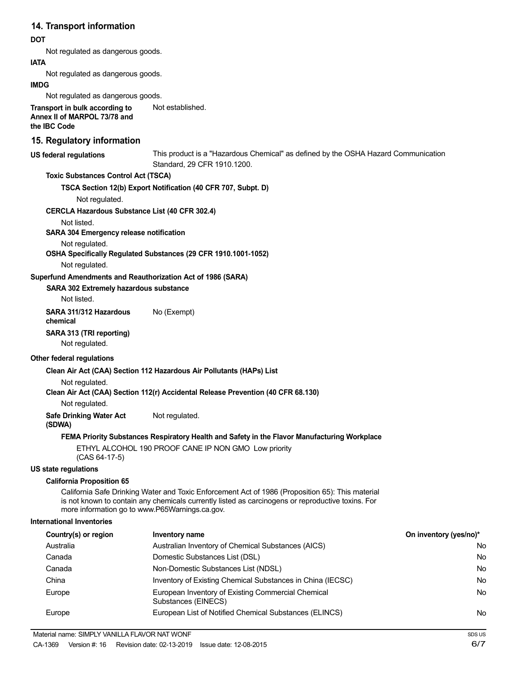## **14. Transport information**

#### **DOT**

Not regulated as dangerous goods.

#### **IATA**

Not regulated as dangerous goods.

#### **IMDG**

Not regulated as dangerous goods.

**Transport in bulk according to Annex II of MARPOL 73/78 and the IBC Code** Not established.

# **15. Regulatory information**

**US federal regulations** This product is a "Hazardous Chemical" as defined by the OSHA Hazard Communication Standard, 29 CFR 1910.1200.

#### **Toxic Substances Control Act (TSCA)**

**TSCA Section 12(b) Export Notification (40 CFR 707, Subpt. D)**

Not regulated.

#### **CERCLA Hazardous Substance List (40 CFR 302.4)**

Not listed.

#### **SARA 304 Emergency release notification**

Not regulated.

**OSHA Specifically Regulated Substances (29 CFR 1910.1001-1052)**

Not regulated.

#### **Superfund Amendments and Reauthorization Act of 1986 (SARA)**

#### **SARA 302 Extremely hazardous substance**

Not listed.

**SARA 311/312 Hazardous** No (Exempt) **chemical**

#### **SARA 313 (TRI reporting)**

Not regulated.

#### **Other federal regulations**

#### **Clean Air Act (CAA) Section 112 Hazardous Air Pollutants (HAPs) List**

Not regulated.

**Clean Air Act (CAA) Section 112(r) Accidental Release Prevention (40 CFR 68.130)**

Not regulated.

**Safe Drinking Water Act** Not regulated.

#### **(SDWA)**

#### **FEMA Priority Substances Respiratory Health and Safety in the Flavor Manufacturing Workplace**

ETHYL ALCOHOL 190 PROOF CANE IP NON GMO Low priority (CAS 64-17-5)

#### **US state regulations**

#### **California Proposition 65**

California Safe Drinking Water and Toxic Enforcement Act of 1986 (Proposition 65): This material is not known to contain any chemicals currently listed as carcinogens or reproductive toxins. For more information go to www.P65Warnings.ca.gov.

#### **International Inventories**

| Country(s) or region | Inventory name                                                            | On inventory (yes/no)* |
|----------------------|---------------------------------------------------------------------------|------------------------|
| Australia            | Australian Inventory of Chemical Substances (AICS)                        | No                     |
| Canada               | Domestic Substances List (DSL)                                            | No                     |
| Canada               | Non-Domestic Substances List (NDSL)                                       | No                     |
| China                | Inventory of Existing Chemical Substances in China (IECSC)                | No                     |
| Europe               | European Inventory of Existing Commercial Chemical<br>Substances (EINECS) | No                     |
| Europe               | European List of Notified Chemical Substances (ELINCS)                    | No                     |